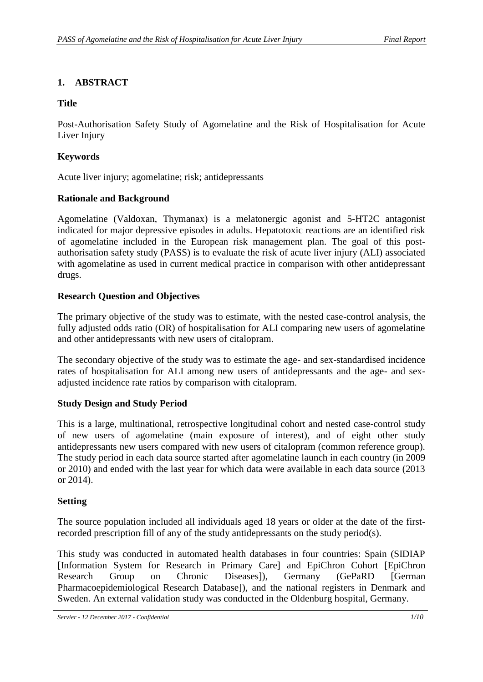# **1. ABSTRACT**

# **Title**

Post-Authorisation Safety Study of Agomelatine and the Risk of Hospitalisation for Acute Liver Injury

# **Keywords**

Acute liver injury; agomelatine; risk; antidepressants

# **Rationale and Background**

Agomelatine (Valdoxan, Thymanax) is a melatonergic agonist and 5-HT2C antagonist indicated for major depressive episodes in adults. Hepatotoxic reactions are an identified risk of agomelatine included in the European risk management plan. The goal of this postauthorisation safety study (PASS) is to evaluate the risk of acute liver injury (ALI) associated with agomelatine as used in current medical practice in comparison with other antidepressant drugs.

# **Research Question and Objectives**

The primary objective of the study was to estimate, with the nested case-control analysis, the fully adjusted odds ratio (OR) of hospitalisation for ALI comparing new users of agomelatine and other antidepressants with new users of citalopram.

The secondary objective of the study was to estimate the age- and sex-standardised incidence rates of hospitalisation for ALI among new users of antidepressants and the age- and sexadjusted incidence rate ratios by comparison with citalopram.

# **Study Design and Study Period**

This is a large, multinational, retrospective longitudinal cohort and nested case-control study of new users of agomelatine (main exposure of interest), and of eight other study antidepressants new users compared with new users of citalopram (common reference group). The study period in each data source started after agomelatine launch in each country (in 2009 or 2010) and ended with the last year for which data were available in each data source (2013 or 2014).

# **Setting**

The source population included all individuals aged 18 years or older at the date of the firstrecorded prescription fill of any of the study antidepressants on the study period(s).

This study was conducted in automated health databases in four countries: Spain (SIDIAP [Information System for Research in Primary Care] and EpiChron Cohort [EpiChron Research Group on Chronic Diseases]), Germany (GePaRD [German Pharmacoepidemiological Research Database]), and the national registers in Denmark and Sweden. An external validation study was conducted in the Oldenburg hospital, Germany.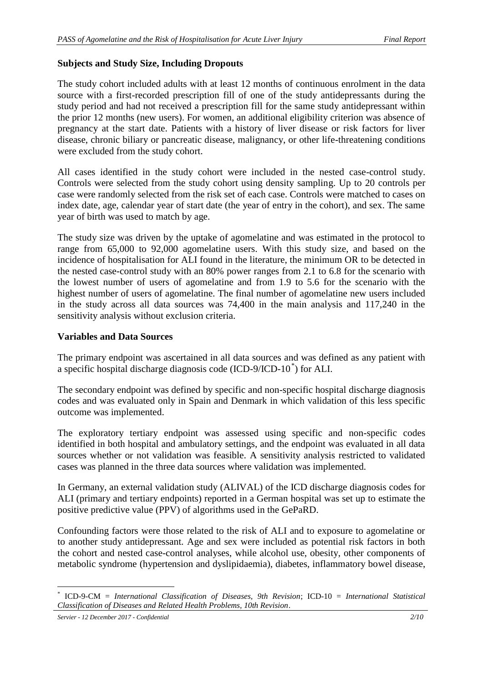# **Subjects and Study Size, Including Dropouts**

The study cohort included adults with at least 12 months of continuous enrolment in the data source with a first-recorded prescription fill of one of the study antidepressants during the study period and had not received a prescription fill for the same study antidepressant within the prior 12 months (new users). For women, an additional eligibility criterion was absence of pregnancy at the start date. Patients with a history of liver disease or risk factors for liver disease, chronic biliary or pancreatic disease, malignancy, or other life-threatening conditions were excluded from the study cohort.

All cases identified in the study cohort were included in the nested case-control study. Controls were selected from the study cohort using density sampling. Up to 20 controls per case were randomly selected from the risk set of each case. Controls were matched to cases on index date, age, calendar year of start date (the year of entry in the cohort), and sex. The same year of birth was used to match by age.

The study size was driven by the uptake of agomelatine and was estimated in the protocol to range from 65,000 to 92,000 agomelatine users. With this study size, and based on the incidence of hospitalisation for ALI found in the literature, the minimum OR to be detected in the nested case-control study with an 80% power ranges from 2.1 to 6.8 for the scenario with the lowest number of users of agomelatine and from 1.9 to 5.6 for the scenario with the highest number of users of agomelatine. The final number of agomelatine new users included in the study across all data sources was 74,400 in the main analysis and 117,240 in the sensitivity analysis without exclusion criteria.

#### **Variables and Data Sources**

The primary endpoint was ascertained in all data sources and was defined as any patient with a specific hospital discharge diagnosis code (ICD-9/ICD-10<sup>\*</sup>) for ALI.

The secondary endpoint was defined by specific and non-specific hospital discharge diagnosis codes and was evaluated only in Spain and Denmark in which validation of this less specific outcome was implemented.

The exploratory tertiary endpoint was assessed using specific and non-specific codes identified in both hospital and ambulatory settings, and the endpoint was evaluated in all data sources whether or not validation was feasible. A sensitivity analysis restricted to validated cases was planned in the three data sources where validation was implemented.

In Germany, an external validation study (ALIVAL) of the ICD discharge diagnosis codes for ALI (primary and tertiary endpoints) reported in a German hospital was set up to estimate the positive predictive value (PPV) of algorithms used in the GePaRD.

Confounding factors were those related to the risk of ALI and to exposure to agomelatine or to another study antidepressant. Age and sex were included as potential risk factors in both the cohort and nested case-control analyses, while alcohol use, obesity, other components of metabolic syndrome (hypertension and dyslipidaemia), diabetes, inflammatory bowel disease,

 $\overline{a}$ \* ICD-9-CM = *International Classification of Diseases, 9th Revision*; ICD-10 = *International Statistical Classification of Diseases and Related Health Problems, 10th Revision*.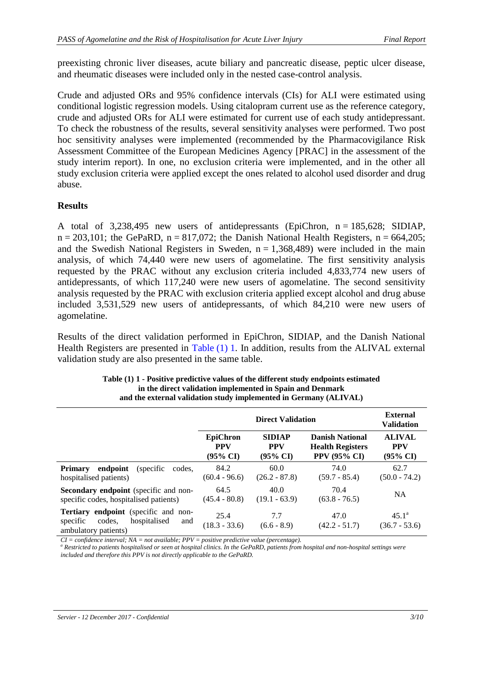preexisting chronic liver diseases, acute biliary and pancreatic disease, peptic ulcer disease, and rheumatic diseases were included only in the nested case-control analysis.

Crude and adjusted ORs and 95% confidence intervals (CIs) for ALI were estimated using conditional logistic regression models. Using citalopram current use as the reference category, crude and adjusted ORs for ALI were estimated for current use of each study antidepressant. To check the robustness of the results, several sensitivity analyses were performed. Two post hoc sensitivity analyses were implemented (recommended by the Pharmacovigilance Risk Assessment Committee of the European Medicines Agency [PRAC] in the assessment of the study interim report). In one, no exclusion criteria were implemented, and in the other all study exclusion criteria were applied except the ones related to alcohol used disorder and drug abuse.

#### **Results**

A total of 3,238,495 new users of antidepressants (EpiChron,  $n = 185,628$ ; SIDIAP,  $n = 203,101$ ; the GePaRD,  $n = 817,072$ ; the Danish National Health Registers,  $n = 664,205$ ; and the Swedish National Registers in Sweden,  $n = 1,368,489$  were included in the main analysis, of which 74,440 were new users of agomelatine. The first sensitivity analysis requested by the PRAC without any exclusion criteria included 4,833,774 new users of antidepressants, of which 117,240 were new users of agomelatine. The second sensitivity analysis requested by the PRAC with exclusion criteria applied except alcohol and drug abuse included 3,531,529 new users of antidepressants, of which 84,210 were new users of agomelatine.

<span id="page-2-0"></span>Results of the direct validation performed in EpiChron, SIDIAP, and the Danish National Health Registers are presented in [Table](#page-2-0) (1) 1. In addition, results from the ALIVAL external validation study are also presented in the same table.

|                                                                                                                  |                                                      | <b>External</b><br><b>Validation</b>               |                                                                          |                                                    |
|------------------------------------------------------------------------------------------------------------------|------------------------------------------------------|----------------------------------------------------|--------------------------------------------------------------------------|----------------------------------------------------|
|                                                                                                                  | <b>EpiChron</b><br><b>PPV</b><br>$(95\% \text{ CI})$ | <b>SIDIAP</b><br><b>PPV</b><br>$(95\% \text{ CI})$ | <b>Danish National</b><br><b>Health Registers</b><br><b>PPV (95% CI)</b> | <b>ALIVAL</b><br><b>PPV</b><br>$(95\% \text{ CI})$ |
| endpoint<br><b>Primary</b><br>(specific)<br>codes.<br>hospitalised patients)                                     | 84.2<br>$(60.4 - 96.6)$                              | 60.0<br>$(26.2 - 87.8)$                            | 74.0<br>$(59.7 - 85.4)$                                                  | 62.7<br>$(50.0 - 74.2)$                            |
| <b>Secondary endpoint</b> (specific and non-<br>specific codes, hospitalised patients)                           | 64.5<br>$(45.4 - 80.8)$                              | 40.0<br>$(19.1 - 63.9)$                            | 70.4<br>$(63.8 - 76.5)$                                                  | <b>NA</b>                                          |
| <b>Tertiary endpoint</b> (specific and non-<br>specific<br>codes.<br>hospitalised<br>and<br>ambulatory patients) | 25.4<br>$(18.3 - 33.6)$                              | 7.7<br>$(6.6 - 8.9)$                               | 47.0<br>$(42.2 - 51.7)$                                                  | $45.1^{\circ}$<br>$(36.7 - 53.6)$                  |

| Table (1) 1 - Positive predictive values of the different study endpoints estimated |
|-------------------------------------------------------------------------------------|
| in the direct validation implemented in Spain and Denmark                           |
| and the external validation study implemented in Germany (ALIVAL)                   |

*CI = confidence interval; NA = not available; PPV = positive predictive value (percentage).*

*<sup>a</sup> Restricted to patients hospitalised or seen at hospital clinics. In the GePaRD, patients from hospital and non-hospital settings were included and therefore this PPV is not directly applicable to the GePaRD.*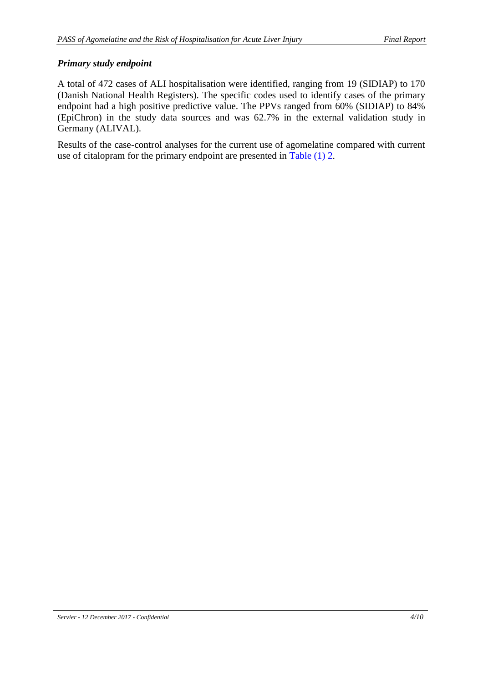# *Primary study endpoint*

A total of 472 cases of ALI hospitalisation were identified, ranging from 19 (SIDIAP) to 170 (Danish National Health Registers). The specific codes used to identify cases of the primary endpoint had a high positive predictive value. The PPVs ranged from 60% (SIDIAP) to 84% (EpiChron) in the study data sources and was 62.7% in the external validation study in Germany (ALIVAL).

Results of the case-control analyses for the current use of agomelatine compared with current use of citalopram for the primary endpoint are presented in [Table](#page-4-0) (1) 2.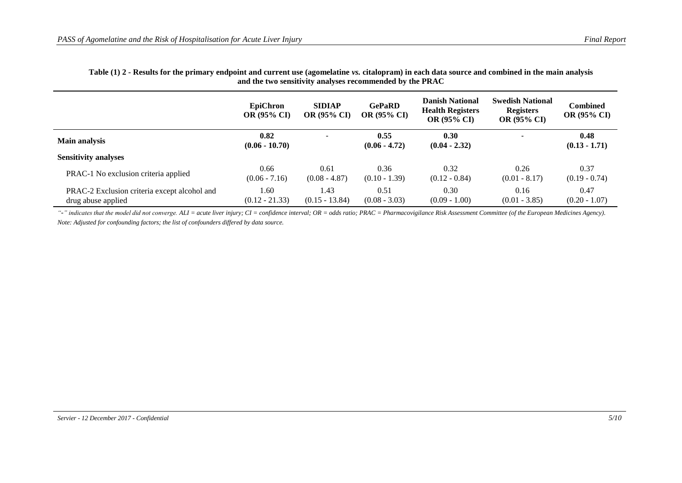#### **Table (1) 2 - Results for the primary endpoint and current use (agomelatine** *vs.* **citalopram) in each data source and combined in the main analysis and the two sensitivity analyses recommended by the PRAC**

|                                                                    | <b>EpiChron</b><br><b>OR (95% CI)</b> | <b>SIDIAP</b><br><b>OR (95% CI)</b> | <b>GePaRD</b><br><b>OR (95% CI)</b> | <b>Danish National</b><br><b>Health Registers</b><br><b>OR (95% CI)</b> | <b>Swedish National</b><br><b>Registers</b><br><b>OR (95% CI)</b> | Combined<br><b>OR (95% CI)</b> |
|--------------------------------------------------------------------|---------------------------------------|-------------------------------------|-------------------------------------|-------------------------------------------------------------------------|-------------------------------------------------------------------|--------------------------------|
| <b>Main analysis</b>                                               | 0.82<br>$(0.06 - 10.70)$              | $\blacksquare$                      | 0.55<br>$(0.06 - 4.72)$             | 0.30<br>$(0.04 - 2.32)$                                                 | ж.                                                                | 0.48<br>$(0.13 - 1.71)$        |
| <b>Sensitivity analyses</b>                                        |                                       |                                     |                                     |                                                                         |                                                                   |                                |
| PRAC-1 No exclusion criteria applied                               | 0.66<br>$(0.06 - 7.16)$               | 0.61<br>$(0.08 - 4.87)$             | 0.36<br>$(0.10 - 1.39)$             | 0.32<br>$(0.12 - 0.84)$                                                 | 0.26<br>$(0.01 - 8.17)$                                           | 0.37<br>$(0.19 - 0.74)$        |
| PRAC-2 Exclusion criteria except alcohol and<br>drug abuse applied | 1.60<br>$(0.12 - 21.33)$              | 1.43<br>$(0.15 - 13.84)$            | 0.51<br>$(0.08 - 3.03)$             | 0.30<br>$(0.09 - 1.00)$                                                 | 0.16<br>$(0.01 - 3.85)$                                           | 0.47<br>$(0.20 - 1.07)$        |

<span id="page-4-0"></span>"-" indicates that the model did not converge. ALI = acute liver injury; CI = confidence interval; OR = odds ratio; PRAC = Pharmacovigilance Risk Assessment Committee (of the European Medicines Agency). *Note: Adjusted for confounding factors; the list of confounders differed by data source.*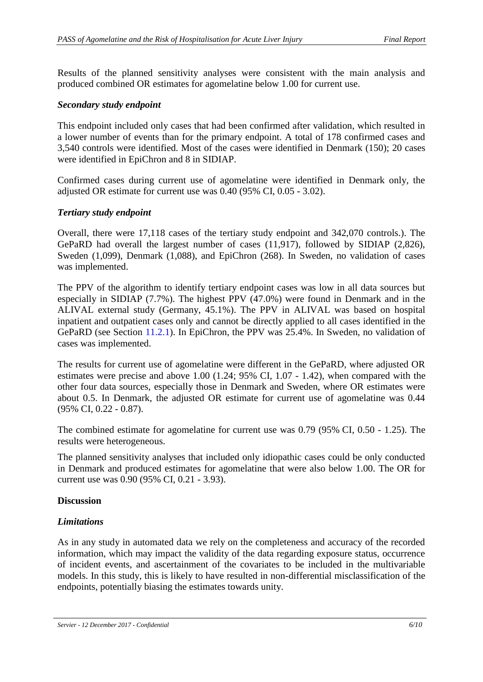Results of the planned sensitivity analyses were consistent with the main analysis and produced combined OR estimates for agomelatine below 1.00 for current use.

#### *Secondary study endpoint*

This endpoint included only cases that had been confirmed after validation, which resulted in a lower number of events than for the primary endpoint. A total of 178 confirmed cases and 3,540 controls were identified. Most of the cases were identified in Denmark (150); 20 cases were identified in EpiChron and 8 in SIDIAP.

Confirmed cases during current use of agomelatine were identified in Denmark only, the adjusted OR estimate for current use was 0.40 (95% CI, 0.05 - 3.02).

#### *Tertiary study endpoint*

Overall, there were 17,118 cases of the tertiary study endpoint and 342,070 controls.). The GePaRD had overall the largest number of cases (11,917), followed by SIDIAP (2,826), Sweden (1,099), Denmark (1,088), and EpiChron (268). In Sweden, no validation of cases was implemented.

The PPV of the algorithm to identify tertiary endpoint cases was low in all data sources but especially in SIDIAP (7.7%). The highest PPV (47.0%) were found in Denmark and in the ALIVAL external study (Germany, 45.1%). The PPV in ALIVAL was based on hospital inpatient and outpatient cases only and cannot be directly applied to all cases identified in the GePaRD (see Section 11.2.1). In EpiChron, the PPV was 25.4%. In Sweden, no validation of cases was implemented.

The results for current use of agomelatine were different in the GePaRD, where adjusted OR estimates were precise and above 1.00 (1.24; 95% CI, 1.07 - 1.42), when compared with the other four data sources, especially those in Denmark and Sweden, where OR estimates were about 0.5. In Denmark, the adjusted OR estimate for current use of agomelatine was 0.44 (95% CI, 0.22 - 0.87).

The combined estimate for agomelatine for current use was 0.79 (95% CI, 0.50 - 1.25). The results were heterogeneous.

The planned sensitivity analyses that included only idiopathic cases could be only conducted in Denmark and produced estimates for agomelatine that were also below 1.00. The OR for current use was 0.90 (95% CI, 0.21 - 3.93).

#### **Discussion**

#### *Limitations*

As in any study in automated data we rely on the completeness and accuracy of the recorded information, which may impact the validity of the data regarding exposure status, occurrence of incident events, and ascertainment of the covariates to be included in the multivariable models. In this study, this is likely to have resulted in non-differential misclassification of the endpoints, potentially biasing the estimates towards unity.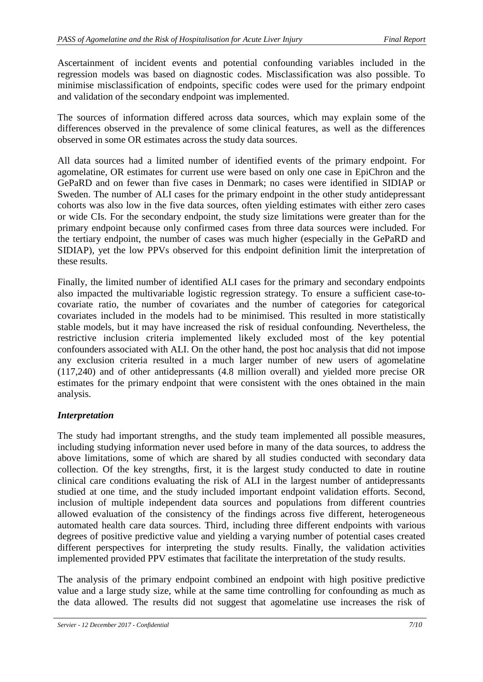Ascertainment of incident events and potential confounding variables included in the regression models was based on diagnostic codes. Misclassification was also possible. To minimise misclassification of endpoints, specific codes were used for the primary endpoint and validation of the secondary endpoint was implemented.

The sources of information differed across data sources, which may explain some of the differences observed in the prevalence of some clinical features, as well as the differences observed in some OR estimates across the study data sources.

All data sources had a limited number of identified events of the primary endpoint. For agomelatine, OR estimates for current use were based on only one case in EpiChron and the GePaRD and on fewer than five cases in Denmark; no cases were identified in SIDIAP or Sweden. The number of ALI cases for the primary endpoint in the other study antidepressant cohorts was also low in the five data sources, often yielding estimates with either zero cases or wide CIs. For the secondary endpoint, the study size limitations were greater than for the primary endpoint because only confirmed cases from three data sources were included. For the tertiary endpoint, the number of cases was much higher (especially in the GePaRD and SIDIAP), yet the low PPVs observed for this endpoint definition limit the interpretation of these results.

Finally, the limited number of identified ALI cases for the primary and secondary endpoints also impacted the multivariable logistic regression strategy. To ensure a sufficient case-tocovariate ratio, the number of covariates and the number of categories for categorical covariates included in the models had to be minimised. This resulted in more statistically stable models, but it may have increased the risk of residual confounding. Nevertheless, the restrictive inclusion criteria implemented likely excluded most of the key potential confounders associated with ALI. On the other hand, the post hoc analysis that did not impose any exclusion criteria resulted in a much larger number of new users of agomelatine (117,240) and of other antidepressants (4.8 million overall) and yielded more precise OR estimates for the primary endpoint that were consistent with the ones obtained in the main analysis.

# *Interpretation*

The study had important strengths, and the study team implemented all possible measures, including studying information never used before in many of the data sources, to address the above limitations, some of which are shared by all studies conducted with secondary data collection. Of the key strengths, first, it is the largest study conducted to date in routine clinical care conditions evaluating the risk of ALI in the largest number of antidepressants studied at one time, and the study included important endpoint validation efforts. Second, inclusion of multiple independent data sources and populations from different countries allowed evaluation of the consistency of the findings across five different, heterogeneous automated health care data sources. Third, including three different endpoints with various degrees of positive predictive value and yielding a varying number of potential cases created different perspectives for interpreting the study results. Finally, the validation activities implemented provided PPV estimates that facilitate the interpretation of the study results.

The analysis of the primary endpoint combined an endpoint with high positive predictive value and a large study size, while at the same time controlling for confounding as much as the data allowed. The results did not suggest that agomelatine use increases the risk of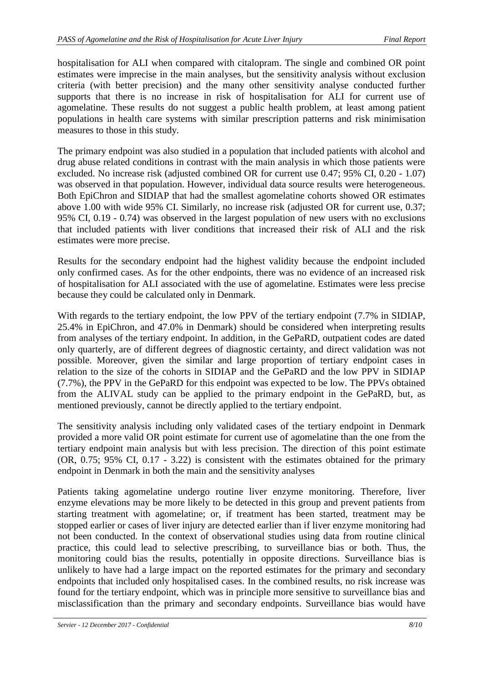hospitalisation for ALI when compared with citalopram. The single and combined OR point estimates were imprecise in the main analyses, but the sensitivity analysis without exclusion criteria (with better precision) and the many other sensitivity analyse conducted further supports that there is no increase in risk of hospitalisation for ALI for current use of agomelatine. These results do not suggest a public health problem, at least among patient populations in health care systems with similar prescription patterns and risk minimisation measures to those in this study.

The primary endpoint was also studied in a population that included patients with alcohol and drug abuse related conditions in contrast with the main analysis in which those patients were excluded. No increase risk (adjusted combined OR for current use 0.47; 95% CI, 0.20 - 1.07) was observed in that population. However, individual data source results were heterogeneous. Both EpiChron and SIDIAP that had the smallest agomelatine cohorts showed OR estimates above 1.00 with wide 95% CI. Similarly, no increase risk (adjusted OR for current use, 0.37; 95% CI, 0.19 - 0.74) was observed in the largest population of new users with no exclusions that included patients with liver conditions that increased their risk of ALI and the risk estimates were more precise.

Results for the secondary endpoint had the highest validity because the endpoint included only confirmed cases. As for the other endpoints, there was no evidence of an increased risk of hospitalisation for ALI associated with the use of agomelatine. Estimates were less precise because they could be calculated only in Denmark.

With regards to the tertiary endpoint, the low PPV of the tertiary endpoint (7.7% in SIDIAP, 25.4% in EpiChron, and 47.0% in Denmark) should be considered when interpreting results from analyses of the tertiary endpoint. In addition, in the GePaRD, outpatient codes are dated only quarterly, are of different degrees of diagnostic certainty, and direct validation was not possible. Moreover, given the similar and large proportion of tertiary endpoint cases in relation to the size of the cohorts in SIDIAP and the GePaRD and the low PPV in SIDIAP (7.7%), the PPV in the GePaRD for this endpoint was expected to be low. The PPVs obtained from the ALIVAL study can be applied to the primary endpoint in the GePaRD, but, as mentioned previously, cannot be directly applied to the tertiary endpoint.

The sensitivity analysis including only validated cases of the tertiary endpoint in Denmark provided a more valid OR point estimate for current use of agomelatine than the one from the tertiary endpoint main analysis but with less precision. The direction of this point estimate (OR, 0.75; 95% CI, 0.17 - 3.22) is consistent with the estimates obtained for the primary endpoint in Denmark in both the main and the sensitivity analyses

Patients taking agomelatine undergo routine liver enzyme monitoring. Therefore, liver enzyme elevations may be more likely to be detected in this group and prevent patients from starting treatment with agomelatine; or, if treatment has been started, treatment may be stopped earlier or cases of liver injury are detected earlier than if liver enzyme monitoring had not been conducted. In the context of observational studies using data from routine clinical practice, this could lead to selective prescribing, to surveillance bias or both. Thus, the monitoring could bias the results, potentially in opposite directions. Surveillance bias is unlikely to have had a large impact on the reported estimates for the primary and secondary endpoints that included only hospitalised cases. In the combined results, no risk increase was found for the tertiary endpoint, which was in principle more sensitive to surveillance bias and misclassification than the primary and secondary endpoints. Surveillance bias would have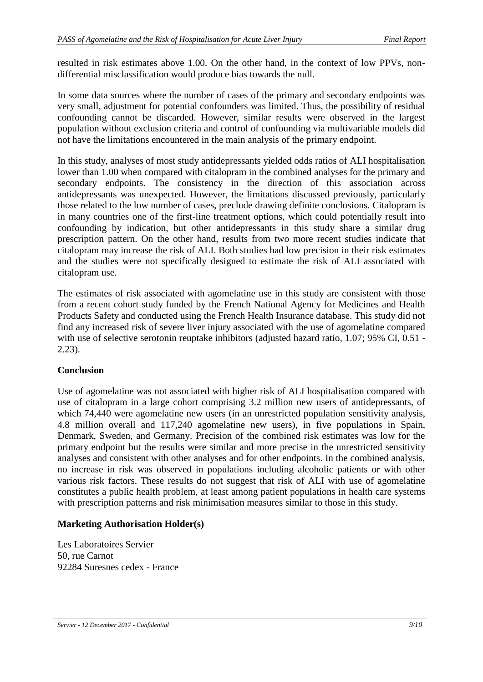resulted in risk estimates above 1.00. On the other hand, in the context of low PPVs, nondifferential misclassification would produce bias towards the null.

In some data sources where the number of cases of the primary and secondary endpoints was very small, adjustment for potential confounders was limited. Thus, the possibility of residual confounding cannot be discarded. However, similar results were observed in the largest population without exclusion criteria and control of confounding via multivariable models did not have the limitations encountered in the main analysis of the primary endpoint.

In this study, analyses of most study antidepressants yielded odds ratios of ALI hospitalisation lower than 1.00 when compared with citalopram in the combined analyses for the primary and secondary endpoints. The consistency in the direction of this association across antidepressants was unexpected. However, the limitations discussed previously, particularly those related to the low number of cases, preclude drawing definite conclusions. Citalopram is in many countries one of the first-line treatment options, which could potentially result into confounding by indication, but other antidepressants in this study share a similar drug prescription pattern. On the other hand, results from two more recent studies indicate that citalopram may increase the risk of ALI. Both studies had low precision in their risk estimates and the studies were not specifically designed to estimate the risk of ALI associated with citalopram use.

The estimates of risk associated with agomelatine use in this study are consistent with those from a recent cohort study funded by the French National Agency for Medicines and Health Products Safety and conducted using the French Health Insurance database. This study did not find any increased risk of severe liver injury associated with the use of agomelatine compared with use of selective serotonin reuptake inhibitors (adjusted hazard ratio, 1.07; 95% CI, 0.51 - 2.23).

# **Conclusion**

Use of agomelatine was not associated with higher risk of ALI hospitalisation compared with use of citalopram in a large cohort comprising 3.2 million new users of antidepressants, of which 74,440 were agomelatine new users (in an unrestricted population sensitivity analysis, 4.8 million overall and 117,240 agomelatine new users), in five populations in Spain, Denmark, Sweden, and Germany. Precision of the combined risk estimates was low for the primary endpoint but the results were similar and more precise in the unrestricted sensitivity analyses and consistent with other analyses and for other endpoints. In the combined analysis, no increase in risk was observed in populations including alcoholic patients or with other various risk factors. These results do not suggest that risk of ALI with use of agomelatine constitutes a public health problem, at least among patient populations in health care systems with prescription patterns and risk minimisation measures similar to those in this study.

#### **Marketing Authorisation Holder(s)**

Les Laboratoires Servier 50, rue Carnot 92284 Suresnes cedex - France